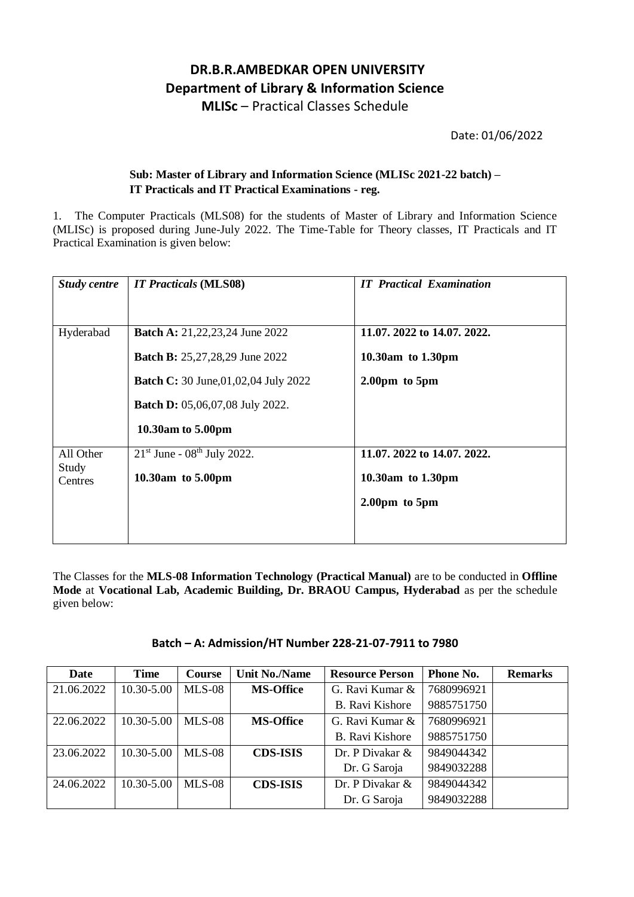## **DR.B.R.AMBEDKAR OPEN UNIVERSITY Department of Library & Information Science MLISc** – Practical Classes Schedule

Date: 01/06/2022

## **Sub: Master of Library and Information Science (MLISc 2021-22 batch) – IT Practicals and IT Practical Examinations - reg.**

1. The Computer Practicals (MLS08) for the students of Master of Library and Information Science (MLISc) is proposed during June-July 2022. The Time-Table for Theory classes, IT Practicals and IT Practical Examination is given below:

| <b>Study centre</b>                  | <b>IT Practicals (MLS08)</b>                                                                                                                                                                         | <b>IT Practical Examination</b>                                                       |
|--------------------------------------|------------------------------------------------------------------------------------------------------------------------------------------------------------------------------------------------------|---------------------------------------------------------------------------------------|
| Hyderabad                            | <b>Batch A:</b> 21, 22, 23, 24 June 2022<br><b>Batch B:</b> 25, 27, 28, 29 June 2022<br><b>Batch C:</b> 30 June, 01, 02, 04 July 2022<br><b>Batch D:</b> 05,06,07,08 July 2022.<br>10.30am to 5.00pm | 11.07. 2022 to 14.07. 2022.<br>10.30am to 1.30pm<br>$2.00 \text{pm}$ to $5 \text{pm}$ |
| All Other<br>Study<br><b>Centres</b> | $21st$ June - 08 <sup>th</sup> July 2022.<br>10.30am to 5.00pm                                                                                                                                       | 11.07. 2022 to 14.07. 2022.<br>10.30am to 1.30pm<br>$2.00 \text{pm}$ to $5 \text{pm}$ |

The Classes for the **MLS-08 Information Technology (Practical Manual)** are to be conducted in **Offline Mode** at **Vocational Lab, Academic Building, Dr. BRAOU Campus, Hyderabad** as per the schedule given below:

|  | Batch - A: Admission/HT Number 228-21-07-7911 to 7980 |
|--|-------------------------------------------------------|
|--|-------------------------------------------------------|

| Date       | <b>Time</b> | <b>Course</b> | <b>Unit No./Name</b> | <b>Resource Person</b> | Phone No.  | <b>Remarks</b> |
|------------|-------------|---------------|----------------------|------------------------|------------|----------------|
| 21.06.2022 | 10.30-5.00  | <b>MLS-08</b> | <b>MS-Office</b>     | G. Ravi Kumar &        | 7680996921 |                |
|            |             |               |                      | B. Ravi Kishore        | 9885751750 |                |
| 22.06.2022 | 10.30-5.00  | $MLS-08$      | <b>MS-Office</b>     | G. Ravi Kumar &        | 7680996921 |                |
|            |             |               |                      | B. Ravi Kishore        | 9885751750 |                |
| 23.06.2022 | 10.30-5.00  | $MLS-08$      | <b>CDS-ISIS</b>      | Dr. P Divakar &        | 9849044342 |                |
|            |             |               |                      | Dr. G Saroja           | 9849032288 |                |
| 24.06.2022 | 10.30-5.00  | $MLS-08$      | <b>CDS-ISIS</b>      | Dr. P Divakar &        | 9849044342 |                |
|            |             |               |                      | Dr. G Saroja           | 9849032288 |                |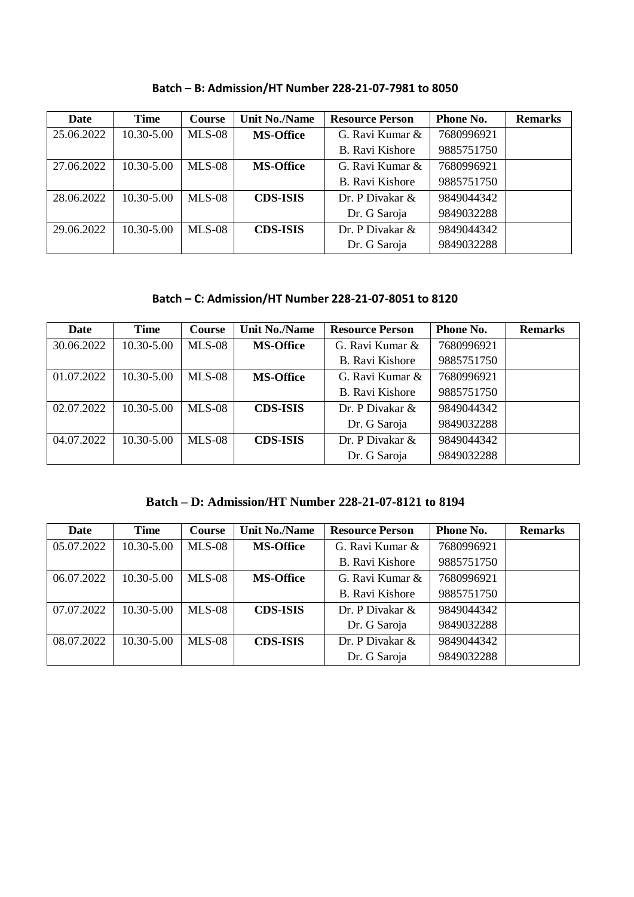| <b>Date</b> | <b>Time</b> | <b>Course</b> | <b>Unit No./Name</b> | <b>Resource Person</b> | Phone No.  | <b>Remarks</b> |
|-------------|-------------|---------------|----------------------|------------------------|------------|----------------|
| 25.06.2022  | 10.30-5.00  | $MLS-08$      | <b>MS-Office</b>     | G. Ravi Kumar &        | 7680996921 |                |
|             |             |               |                      | B. Ravi Kishore        | 9885751750 |                |
| 27.06.2022  | 10.30-5.00  | $MLS-08$      | <b>MS-Office</b>     | G. Ravi Kumar &        | 7680996921 |                |
|             |             |               |                      | B. Ravi Kishore        | 9885751750 |                |
| 28.06.2022  | 10.30-5.00  | $MLS-08$      | <b>CDS-ISIS</b>      | Dr. P Divakar $\&$     | 9849044342 |                |
|             |             |               |                      | Dr. G Saroja           | 9849032288 |                |
| 29.06.2022  | 10.30-5.00  | $MLS-08$      | <b>CDS-ISIS</b>      | Dr. P Divakar &        | 9849044342 |                |
|             |             |               |                      | Dr. G Saroja           | 9849032288 |                |

**Batch – B: Admission/HT Number 228-21-07-7981 to 8050**

## **Batch – C: Admission/HT Number 228-21-07-8051 to 8120**

| Date       | <b>Time</b> | <b>Course</b> | <b>Unit No./Name</b> | <b>Resource Person</b> | Phone No.  | <b>Remarks</b> |
|------------|-------------|---------------|----------------------|------------------------|------------|----------------|
| 30.06.2022 | 10.30-5.00  | <b>MLS-08</b> | <b>MS-Office</b>     | G. Ravi Kumar &        | 7680996921 |                |
|            |             |               |                      | B. Ravi Kishore        | 9885751750 |                |
| 01.07.2022 | 10.30-5.00  | $MLS-08$      | <b>MS-Office</b>     | G. Ravi Kumar &        | 7680996921 |                |
|            |             |               |                      | B. Ravi Kishore        | 9885751750 |                |
| 02.07.2022 | 10.30-5.00  | $MLS-08$      | <b>CDS-ISIS</b>      | Dr. P Divakar $\&$     | 9849044342 |                |
|            |             |               |                      | Dr. G Saroja           | 9849032288 |                |
| 04.07.2022 | 10.30-5.00  | $MLS-08$      | <b>CDS-ISIS</b>      | Dr. P Divakar $\&$     | 9849044342 |                |
|            |             |               |                      | Dr. G Saroja           | 9849032288 |                |

**Batch – D: Admission/HT Number 228-21-07-8121 to 8194**

| Date       | <b>Time</b> | <b>Course</b> | <b>Unit No./Name</b> | <b>Resource Person</b> | <b>Phone No.</b> | <b>Remarks</b> |
|------------|-------------|---------------|----------------------|------------------------|------------------|----------------|
| 05.07.2022 | 10.30-5.00  | <b>MLS-08</b> | <b>MS-Office</b>     | G. Ravi Kumar &        | 7680996921       |                |
|            |             |               |                      | <b>B.</b> Ravi Kishore | 9885751750       |                |
| 06.07.2022 | 10.30-5.00  | $MLS-08$      | <b>MS-Office</b>     | G. Ravi Kumar &        | 7680996921       |                |
|            |             |               |                      | B. Ravi Kishore        | 9885751750       |                |
| 07.07.2022 | 10.30-5.00  | $MLS-08$      | <b>CDS-ISIS</b>      | Dr. P Divakar $\&$     | 9849044342       |                |
|            |             |               |                      | Dr. G Saroja           | 9849032288       |                |
| 08.07.2022 | 10.30-5.00  | $MLS-08$      | <b>CDS-ISIS</b>      | Dr. P Divakar &        | 9849044342       |                |
|            |             |               |                      | Dr. G Saroja           | 9849032288       |                |